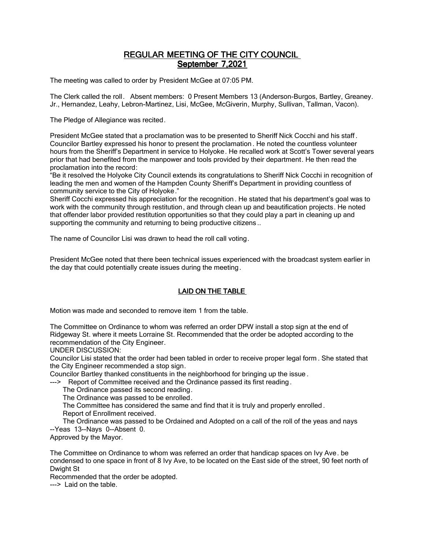# REGULAR MEETING OF THE CITY COUNCIL September 7,2021

The meeting was called to order by President McGee at 07:05 PM.

The Clerk called the roll. Absent members: 0 Present Members 13 (Anderson-Burgos, Bartley, Greaney. Jr., Hernandez, Leahy, Lebron-Martinez, Lisi, McGee, McGiverin, Murphy, Sullivan, Tallman, Vacon).

The Pledge of Allegiance was recited.

President McGee stated that a proclamation was to be presented to Sheriff Nick Cocchi and his staff . Councilor Bartley expressed his honor to present the proclamation . He noted the countless volunteer hours from the Sheriff's Department in service to Holyoke. He recalled work at Scott's Tower several years prior that had benefited from the manpower and tools provided by their department. He then read the proclamation into the record:

"Be it resolved the Holyoke City Council extends its congratulations to Sheriff Nick Cocchi in recognition of leading the men and women of the Hampden County Sheriff's Department in providing countless of community service to the City of Holyoke."

Sheriff Cocchi expressed his appreciation for the recognition . He stated that his department's goal was to work with the community through restitution, and through clean up and beautification projects. He noted that offender labor provided restitution opportunities so that they could play a part in cleaning up and supporting the community and returning to being productive citizens...

The name of Councilor Lisi was drawn to head the roll call voting.

President McGee noted that there been technical issues experienced with the broadcast system earlier in the day that could potentially create issues during the meeting.

# LAID ON THE TABLE

Motion was made and seconded to remove item 1 from the table.

The Committee on Ordinance to whom was referred an order DPW install a stop sign at the end of Ridgeway St. where it meets Lorraine St. Recommended that the order be adopted according to the recommendation of the City Engineer.

UNDER DISCUSSION:

Councilor Lisi stated that the order had been tabled in order to receive proper legal form . She stated that the City Engineer recommended a stop sign.

Councilor Bartley thanked constituents in the neighborhood for bringing up the issue .

---> Report of Committee received and the Ordinance passed its first reading.

The Ordinance passed its second reading.

The Ordinance was passed to be enrolled.

The Committee has considered the same and find that it is truly and properly enrolled .

Report of Enrollment received.

 The Ordinance was passed to be Ordained and Adopted on a call of the roll of the yeas and nays --Yeas 13--Nays 0--Absent 0.

Approved by the Mayor.

The Committee on Ordinance to whom was referred an order that handicap spaces on Ivy Ave. be condensed to one space in front of 8 Ivy Ave, to be located on the East side of the street, 90 feet north of Dwight St

Recommended that the order be adopted.

---> Laid on the table.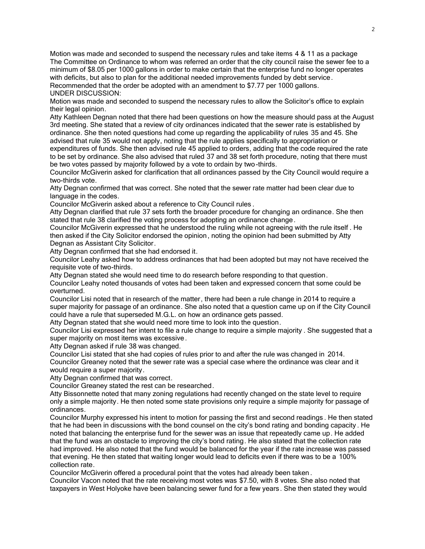Motion was made and seconded to suspend the necessary rules and take items 4 & 11 as a package The Committee on Ordinance to whom was referred an order that the city council raise the sewer fee to a minimum of \$8.05 per 1000 gallons in order to make certain that the enterprise fund no longer operates with deficits, but also to plan for the additional needed improvements funded by debt service. Recommended that the order be adopted with an amendment to \$7.77 per 1000 gallons. UNDER DISCUSSION:

Motion was made and seconded to suspend the necessary rules to allow the Solicitor's office to explain their legal opinion.

Atty Kathleen Degnan noted that there had been questions on how the measure should pass at the August 3rd meeting. She stated that a review of city ordinances indicated that the sewer rate is established by ordinance. She then noted questions had come up regarding the applicability of rules 35 and 45. She advised that rule 35 would not apply, noting that the rule applies specifically to appropriation or expenditures of funds. She then advised rule 45 applied to orders, adding that the code required the rate

to be set by ordinance. She also advised that ruled 37 and 38 set forth procedure, noting that there must be two votes passed by majority followed by a vote to ordain by two-thirds.

Councilor McGiverin asked for clarification that all ordinances passed by the City Council would require a two-thirds vote.

Atty Degnan confirmed that was correct. She noted that the sewer rate matter had been clear due to language in the codes.

Councilor McGiverin asked about a reference to City Council rules .

Atty Degnan clarified that rule 37 sets forth the broader procedure for changing an ordinance. She then stated that rule 38 clarified the voting process for adopting an ordinance change.

Councilor McGiverin expressed that he understood the ruling while not agreeing with the rule itself . He then asked if the City Solicitor endorsed the opinion, noting the opinion had been submitted by Atty Degnan as Assistant City Solicitor.

Atty Degnan confirmed that she had endorsed it.

Councilor Leahy asked how to address ordinances that had been adopted but may not have received the requisite vote of two-thirds.

Atty Degnan stated she would need time to do research before responding to that question.

Councilor Leahy noted thousands of votes had been taken and expressed concern that some could be overturned.

Councilor Lisi noted that in research of the matter, there had been a rule change in 2014 to require a super majority for passage of an ordinance. She also noted that a question came up on if the City Council could have a rule that superseded M.G.L. on how an ordinance gets passed.

Atty Degnan stated that she would need more time to look into the question.

Councilor Lisi expressed her intent to file a rule change to require a simple majority . She suggested that a super majority on most items was excessive.

Atty Degnan asked if rule 38 was changed.

Councilor Lisi stated that she had copies of rules prior to and after the rule was changed in 2014. Councilor Greaney noted that the sewer rate was a special case where the ordinance was clear and it would require a super majority.

Atty Degnan confirmed that was correct.

Councilor Greaney stated the rest can be researched.

Atty Bissonnette noted that many zoning regulations had recently changed on the state level to require only a simple majority. He then noted some state provisions only require a simple majority for passage of ordinances.

Councilor Murphy expressed his intent to motion for passing the first and second readings . He then stated that he had been in discussions with the bond counsel on the city's bond rating and bonding capacity . He noted that balancing the enterprise fund for the sewer was an issue that repeatedly came up. He added that the fund was an obstacle to improving the city's bond rating. He also stated that the collection rate had improved. He also noted that the fund would be balanced for the year if the rate increase was passed that evening. He then stated that waiting longer would lead to deficits even if there was to be a 100% collection rate.

Councilor McGiverin offered a procedural point that the votes had already been taken .

Councilor Vacon noted that the rate receiving most votes was \$7.50, with 8 votes. She also noted that taxpayers in West Holyoke have been balancing sewer fund for a few years. She then stated they would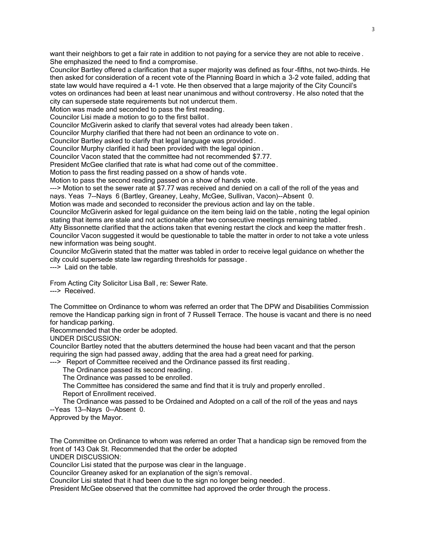want their neighbors to get a fair rate in addition to not paying for a service they are not able to receive . She emphasized the need to find a compromise.

Councilor Bartley offered a clarification that a super majority was defined as four -fifths, not two-thirds. He then asked for consideration of a recent vote of the Planning Board in which a 3-2 vote failed, adding that state law would have required a 4-1 vote. He then observed that a large majority of the City Council's votes on ordinances had been at least near unanimous and without controversy. He also noted that the city can supersede state requirements but not undercut them.

Motion was made and seconded to pass the first reading.

Councilor Lisi made a motion to go to the first ballot.

Councilor McGiverin asked to clarify that several votes had already been taken .

Councilor Murphy clarified that there had not been an ordinance to vote on.

Councilor Bartley asked to clarify that legal language was provided .

Councilor Murphy clarified it had been provided with the legal opinion .

Councilor Vacon stated that the committee had not recommended \$7.77.

President McGee clarified that rate is what had come out of the committee.

Motion to pass the first reading passed on a show of hands vote.

Motion to pass the second reading passed on a show of hands vote.

---> Motion to set the sewer rate at \$7.77 was received and denied on a call of the roll of the yeas and nays. Yeas 7--Nays 6 (Bartley, Greaney, Leahy, McGee, Sullivan, Vacon)--Absent 0.

Motion was made and seconded to reconsider the previous action and lay on the table.

Councilor McGiverin asked for legal guidance on the item being laid on the table , noting the legal opinion stating that items are stale and not actionable after two consecutive meetings remaining tabled .

Atty Bissonnette clarified that the actions taken that evening restart the clock and keep the matter fresh . Councilor Vacon suggested it would be questionable to table the matter in order to not take a vote unless new information was being sought.

Councilor McGiverin stated that the matter was tabled in order to receive legal guidance on whether the city could supersede state law regarding thresholds for passage .

---> Laid on the table.

From Acting City Solicitor Lisa Ball , re: Sewer Rate. ---> Received.

The Committee on Ordinance to whom was referred an order that The DPW and Disabilities Commission remove the Handicap parking sign in front of 7 Russell Terrace. The house is vacant and there is no need for handicap parking.

Recommended that the order be adopted.

UNDER DISCUSSION:

Councilor Bartley noted that the abutters determined the house had been vacant and that the person requiring the sign had passed away, adding that the area had a great need for parking.

---> Report of Committee received and the Ordinance passed its first reading.

The Ordinance passed its second reading.

The Ordinance was passed to be enrolled.

 The Committee has considered the same and find that it is truly and properly enrolled . Report of Enrollment received.

 The Ordinance was passed to be Ordained and Adopted on a call of the roll of the yeas and nays --Yeas 13--Nays 0--Absent 0.

Approved by the Mayor.

The Committee on Ordinance to whom was referred an order That a handicap sign be removed from the front of 143 Oak St. Recommended that the order be adopted

UNDER DISCUSSION:

Councilor Lisi stated that the purpose was clear in the language.

Councilor Greaney asked for an explanation of the sign's removal .

Councilor Lisi stated that it had been due to the sign no longer being needed.

President McGee observed that the committee had approved the order through the process.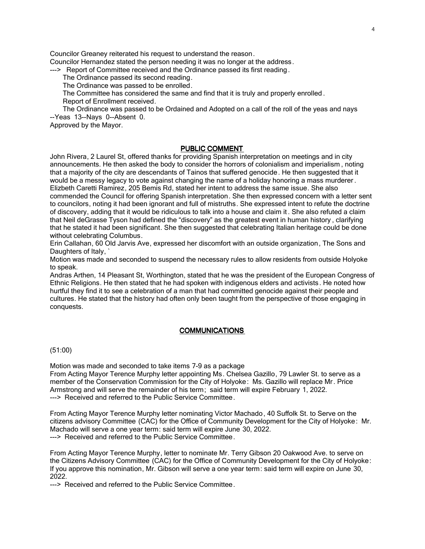Councilor Greaney reiterated his request to understand the reason.

Councilor Hernandez stated the person needing it was no longer at the address.

---> Report of Committee received and the Ordinance passed its first reading .

The Ordinance passed its second reading.

The Ordinance was passed to be enrolled.

 The Committee has considered the same and find that it is truly and properly enrolled . Report of Enrollment received.

 The Ordinance was passed to be Ordained and Adopted on a call of the roll of the yeas and nays --Yeas 13--Nays 0--Absent 0.

Approved by the Mayor.

## PUBLIC COMMENT

John Rivera, 2 Laurel St, offered thanks for providing Spanish interpretation on meetings and in city announcements. He then asked the body to consider the horrors of colonialism and imperialism , noting that a majority of the city are descendants of Tainos that suffered genocide. He then suggested that it would be a messy legacy to vote against changing the name of a holiday honoring a mass murderer . Elizbeth Caretti Ramirez, 205 Bemis Rd, stated her intent to address the same issue. She also commended the Council for offering Spanish interpretation. She then expressed concern with a letter sent to councilors, noting it had been ignorant and full of mistruths. She expressed intent to refute the doctrine of discovery, adding that it would be ridiculous to talk into a house and claim it . She also refuted a claim that Neil deGrasse Tyson had defined the "discovery" as the greatest event in human history , clarifying that he stated it had been significant. She then suggested that celebrating Italian heritage could be done without celebrating Columbus.

Erin Callahan, 60 Old Jarvis Ave, expressed her discomfort with an outside organization, The Sons and Daughters of Italy,

Motion was made and seconded to suspend the necessary rules to allow residents from outside Holyoke to speak.

Andras Arthen, 14 Pleasant St, Worthington, stated that he was the president of the European Congress of Ethnic Religions. He then stated that he had spoken with indigenous elders and activists. He noted how hurtful they find it to see a celebration of a man that had committed genocide against their people and cultures. He stated that the history had often only been taught from the perspective of those engaging in conquests.

## **COMMUNICATIONS**

## (51:00)

Motion was made and seconded to take items 7-9 as a package From Acting Mayor Terence Murphy letter appointing Ms. Chelsea Gazillo, 79 Lawler St. to serve as a member of the Conservation Commission for the City of Holyoke: Ms. Gazillo will replace Mr. Price Armstrong and will serve the remainder of his term; said term will expire February 1, 2022. ---> Received and referred to the Public Service Committee.

From Acting Mayor Terence Murphy letter nominating Victor Machado, 40 Suffolk St. to Serve on the citizens advisory Committee (CAC) for the Office of Community Development for the City of Holyoke: Mr. Machado will serve a one year term: said term will expire June 30, 2022. ---> Received and referred to the Public Service Committee.

From Acting Mayor Terence Murphy, letter to nominate Mr. Terry Gibson 20 Oakwood Ave. to serve on the Citizens Advisory Committee (CAC) for the Office of Community Development for the City of Holyoke: If you approve this nomination, Mr. Gibson will serve a one year term: said term will expire on June 30, 2022.

---> Received and referred to the Public Service Committee.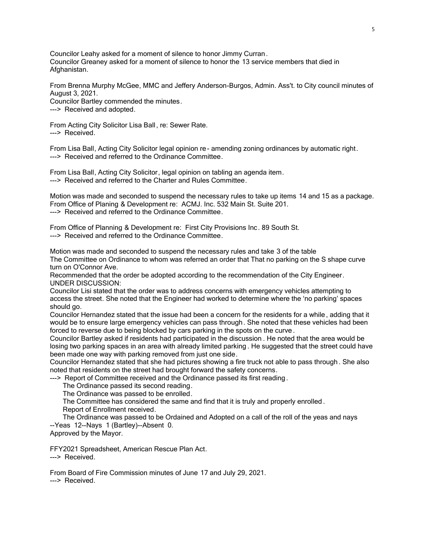Councilor Leahy asked for a moment of silence to honor Jimmy Curran. Councilor Greaney asked for a moment of silence to honor the 13 service members that died in Afghanistan.

From Brenna Murphy McGee, MMC and Jeffery Anderson-Burgos, Admin. Ass't. to City council minutes of August 3, 2021. Councilor Bartley commended the minutes.

---> Received and adopted.

From Acting City Solicitor Lisa Ball , re: Sewer Rate. ---> Received

From Lisa Ball, Acting City Solicitor legal opinion re- amending zoning ordinances by automatic right. ---> Received and referred to the Ordinance Committee.

From Lisa Ball, Acting City Solicitor, legal opinion on tabling an agenda item. ---> Received and referred to the Charter and Rules Committee.

Motion was made and seconded to suspend the necessary rules to take up items 14 and 15 as a package. From Office of Planing & Development re: ACMJ. Inc. 532 Main St. Suite 201. ---> Received and referred to the Ordinance Committee.

From Office of Planning & Development re: First City Provisions Inc. 89 South St. ---> Received and referred to the Ordinance Committee.

Motion was made and seconded to suspend the necessary rules and take 3 of the table The Committee on Ordinance to whom was referred an order that That no parking on the S shape curve turn on O'Connor Ave.

Recommended that the order be adopted according to the recommendation of the City Engineer. UNDER DISCUSSION:

Councilor Lisi stated that the order was to address concerns with emergency vehicles attempting to access the street. She noted that the Engineer had worked to determine where the 'no parking' spaces should go.

Councilor Hernandez stated that the issue had been a concern for the residents for a while , adding that it would be to ensure large emergency vehicles can pass through. She noted that these vehicles had been forced to reverse due to being blocked by cars parking in the spots on the curve .

Councilor Bartley asked if residents had participated in the discussion . He noted that the area would be losing two parking spaces in an area with already limited parking . He suggested that the street could have been made one way with parking removed from just one side.

Councilor Hernandez stated that she had pictures showing a fire truck not able to pass through . She also noted that residents on the street had brought forward the safety concerns.

---> Report of Committee received and the Ordinance passed its first reading.

The Ordinance passed its second reading.

The Ordinance was passed to be enrolled.

The Committee has considered the same and find that it is truly and properly enrolled .

Report of Enrollment received.

 The Ordinance was passed to be Ordained and Adopted on a call of the roll of the yeas and nays --Yeas 12--Nays 1 (Bartley)--Absent 0.

Approved by the Mayor.

FFY2021 Spreadsheet, American Rescue Plan Act. ---> Received.

From Board of Fire Commission minutes of June 17 and July 29, 2021. ---> Received.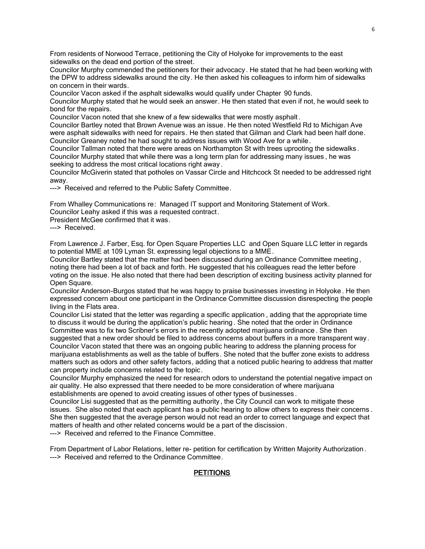From residents of Norwood Terrace, petitioning the City of Holyoke for improvements to the east sidewalks on the dead end portion of the street.

Councilor Murphy commended the petitioners for their advocacy. He stated that he had been working with the DPW to address sidewalks around the city. He then asked his colleagues to inform him of sidewalks on concern in their wards.

Councilor Vacon asked if the asphalt sidewalks would qualify under Chapter 90 funds.

Councilor Murphy stated that he would seek an answer. He then stated that even if not, he would seek to bond for the repairs.

Councilor Vacon noted that she knew of a few sidewalks that were mostly asphalt .

Councilor Bartley noted that Brown Avenue was an issue. He then noted Westfield Rd to Michigan Ave were asphalt sidewalks with need for repairs. He then stated that Gilman and Clark had been half done. Councilor Greaney noted he had sought to address issues with Wood Ave for a while .

Councilor Tallman noted that there were areas on Northampton St with trees uprooting the sidewalks . Councilor Murphy stated that while there was a long term plan for addressing many issues , he was seeking to address the most critical locations right away .

Councilor McGiverin stated that potholes on Vassar Circle and Hitchcock St needed to be addressed right away.

---> Received and referred to the Public Safety Committee.

From Whalley Communications re: Managed IT support and Monitoring Statement of Work. Councilor Leahy asked if this was a requested contract.

President McGee confirmed that it was.

---> Received.

From Lawrence J. Farber, Esq. for Open Square Properties LLC and Open Square LLC letter in regards to potential MME at 109 Lyman St. expressing legal objections to a MME.

Councilor Bartley stated that the matter had been discussed during an Ordinance Committee meeting , noting there had been a lot of back and forth. He suggested that his colleagues read the letter before voting on the issue. He also noted that there had been description of exciting business activity planned for Open Square.

Councilor Anderson-Burgos stated that he was happy to praise businesses investing in Holyoke . He then expressed concern about one participant in the Ordinance Committee discussion disrespecting the people living in the Flats area.

Councilor Lisi stated that the letter was regarding a specific application , adding that the appropriate time to discuss it would be during the application's public hearing . She noted that the order in Ordinance Committee was to fix two Scribner's errors in the recently adopted marijuana ordinance . She then suggested that a new order should be filed to address concerns about buffers in a more transparent way. Councilor Vacon stated that there was an ongoing public hearing to address the planning process for

marijuana establishments as well as the table of buffers. She noted that the buffer zone exists to address matters such as odors and other safety factors, adding that a noticed public hearing to address that matter can property include concerns related to the topic.

Councilor Murphy emphasized the need for research odors to understand the potential negative impact on air quality. He also expressed that there needed to be more consideration of where marijuana establishments are opened to avoid creating issues of other types of businesses .

Councilor Lisi suggested that as the permitting authority, the City Council can work to mitigate these issues. She also noted that each applicant has a public hearing to allow others to express their concerns . She then suggested that the average person would not read an order to correct language and expect that matters of health and other related concerns would be a part of the discission.

---> Received and referred to the Finance Committee.

From Department of Labor Relations, letter re- petition for certification by Written Majority Authorization . ---> Received and referred to the Ordinance Committee.

# **PETITIONS**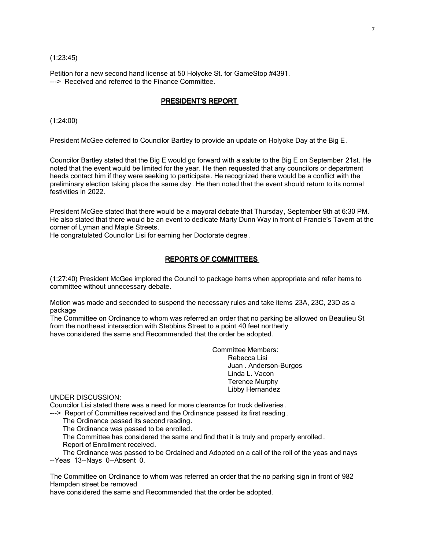(1:23:45)

Petition for a new second hand license at 50 Holyoke St. for GameStop #4391. ---> Received and referred to the Finance Committee.

## PRESIDENT'S REPORT

(1:24:00)

President McGee deferred to Councilor Bartley to provide an update on Holyoke Day at the Big E .

Councilor Bartley stated that the Big E would go forward with a salute to the Big E on September 21st. He noted that the event would be limited for the year. He then requested that any councilors or department heads contact him if they were seeking to participate. He recognized there would be a conflict with the preliminary election taking place the same day. He then noted that the event should return to its normal festivities in 2022.

President McGee stated that there would be a mayoral debate that Thursday, September 9th at 6:30 PM. He also stated that there would be an event to dedicate Marty Dunn Way in front of Francie's Tavern at the corner of Lyman and Maple Streets.

He congratulated Councilor Lisi for earning her Doctorate degree.

## REPORTS OF COMMITTEES

(1:27:40) President McGee implored the Council to package items when appropriate and refer items to committee without unnecessary debate.

Motion was made and seconded to suspend the necessary rules and take items 23A, 23C, 23D as a package

The Committee on Ordinance to whom was referred an order that no parking be allowed on Beaulieu St from the northeast intersection with Stebbins Street to a point 40 feet northerly have considered the same and Recommended that the order be adopted.

> Committee Members: Rebecca Lisi Juan . Anderson-Burgos Linda L. Vacon Terence Murphy Libby Hernandez

UNDER DISCUSSION:

Councilor Lisi stated there was a need for more clearance for truck deliveries .

---> Report of Committee received and the Ordinance passed its first reading.

The Ordinance passed its second reading.

The Ordinance was passed to be enrolled.

 The Committee has considered the same and find that it is truly and properly enrolled . Report of Enrollment received.

 The Ordinance was passed to be Ordained and Adopted on a call of the roll of the yeas and nays --Yeas 13--Nays 0--Absent 0.

The Committee on Ordinance to whom was referred an order that the no parking sign in front of 982 Hampden street be removed

have considered the same and Recommended that the order be adopted.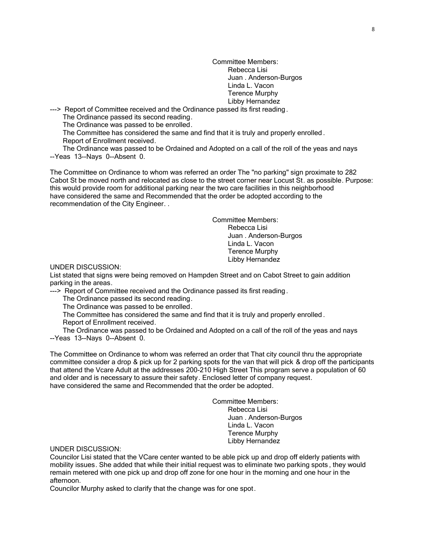Committee Members: Rebecca Lisi Juan . Anderson-Burgos Linda L. Vacon Terence Murphy Libby Hernandez

---> Report of Committee received and the Ordinance passed its first reading .

The Ordinance passed its second reading.

The Ordinance was passed to be enrolled.

 The Committee has considered the same and find that it is truly and properly enrolled . Report of Enrollment received.

 The Ordinance was passed to be Ordained and Adopted on a call of the roll of the yeas and nays --Yeas 13--Nays 0--Absent 0.

The Committee on Ordinance to whom was referred an order The "no parking" sign proximate to 282 Cabot St be moved north and relocated as close to the street corner near Locust St. as possible. Purpose: this would provide room for additional parking near the two care facilities in this neighborhood have considered the same and Recommended that the order be adopted according to the recommendation of the City Engineer. .

> Committee Members: Rebecca Lisi Juan . Anderson-Burgos Linda L. Vacon Terence Murphy Libby Hernandez

UNDER DISCUSSION:

List stated that signs were being removed on Hampden Street and on Cabot Street to gain addition parking in the areas.

---> Report of Committee received and the Ordinance passed its first reading.

The Ordinance passed its second reading.

The Ordinance was passed to be enrolled.

The Committee has considered the same and find that it is truly and properly enrolled .

Report of Enrollment received.

 The Ordinance was passed to be Ordained and Adopted on a call of the roll of the yeas and nays --Yeas 13--Nays 0--Absent 0.

The Committee on Ordinance to whom was referred an order that That city council thru the appropriate committee consider a drop & pick up for 2 parking spots for the van that will pick & drop off the participants that attend the Vcare Adult at the addresses 200-210 High Street This program serve a population of 60 and older and is necessary to assure their safety. Enclosed letter of company request. have considered the same and Recommended that the order be adopted.

> Committee Members: Rebecca Lisi Juan . Anderson-Burgos Linda L. Vacon Terence Murphy Libby Hernandez

UNDER DISCUSSION:

Councilor Lisi stated that the VCare center wanted to be able pick up and drop off elderly patients with mobility issues. She added that while their initial request was to eliminate two parking spots , they would remain metered with one pick up and drop off zone for one hour in the morning and one hour in the afternoon.

Councilor Murphy asked to clarify that the change was for one spot.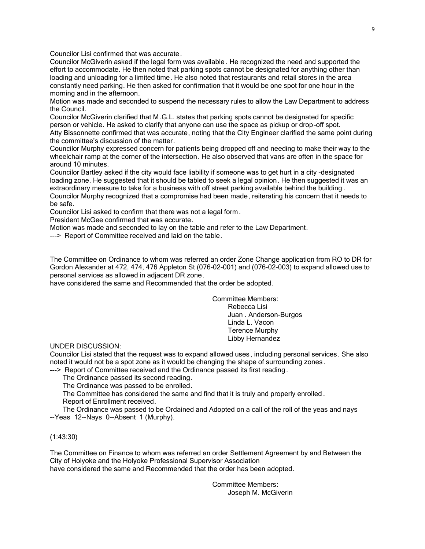Councilor Lisi confirmed that was accurate.

Councilor McGiverin asked if the legal form was available . He recognized the need and supported the effort to accommodate. He then noted that parking spots cannot be designated for anything other than loading and unloading for a limited time. He also noted that restaurants and retail stores in the area constantly need parking. He then asked for confirmation that it would be one spot for one hour in the morning and in the afternoon.

Motion was made and seconded to suspend the necessary rules to allow the Law Department to address the Council.

Councilor McGiverin clarified that M .G.L. states that parking spots cannot be designated for specific person or vehicle. He asked to clarify that anyone can use the space as pickup or drop-off spot. Atty Bissonnette confirmed that was accurate, noting that the City Engineer clarified the same point during the committee's discussion of the matter.

Councilor Murphy expressed concern for patients being dropped off and needing to make their way to the wheelchair ramp at the corner of the intersection. He also observed that vans are often in the space for around 10 minutes.

Councilor Bartley asked if the city would face liability if someone was to get hurt in a city -designated loading zone. He suggested that it should be tabled to seek a legal opinion. He then suggested it was an extraordinary measure to take for a business with off street parking available behind the building . Councilor Murphy recognized that a compromise had been made, reiterating his concern that it needs to

be safe.

Councilor Lisi asked to confirm that there was not a legal form .

President McGee confirmed that was accurate.

Motion was made and seconded to lay on the table and refer to the Law Department.

---> Report of Committee received and laid on the table.

The Committee on Ordinance to whom was referred an order Zone Change application from RO to DR for Gordon Alexander at 472, 474, 476 Appleton St (076-02-001) and (076-02-003) to expand allowed use to personal services as allowed in adjacent DR zone .

have considered the same and Recommended that the order be adopted.

Committee Members: Rebecca Lisi Juan . Anderson-Burgos Linda L. Vacon Terence Murphy Libby Hernandez

UNDER DISCUSSION:

Councilor Lisi stated that the request was to expand allowed uses, including personal services. She also noted it would not be a spot zone as it would be changing the shape of surrounding zones.

---> Report of Committee received and the Ordinance passed its first reading.

The Ordinance passed its second reading.

The Ordinance was passed to be enrolled.

 The Committee has considered the same and find that it is truly and properly enrolled . Report of Enrollment received.

 The Ordinance was passed to be Ordained and Adopted on a call of the roll of the yeas and nays --Yeas 12--Nays 0--Absent 1 (Murphy).

(1:43:30)

The Committee on Finance to whom was referred an order Settlement Agreement by and Between the City of Holyoke and the Holyoke Professional Supervisor Association have considered the same and Recommended that the order has been adopted.

> Committee Members: Joseph M. McGiverin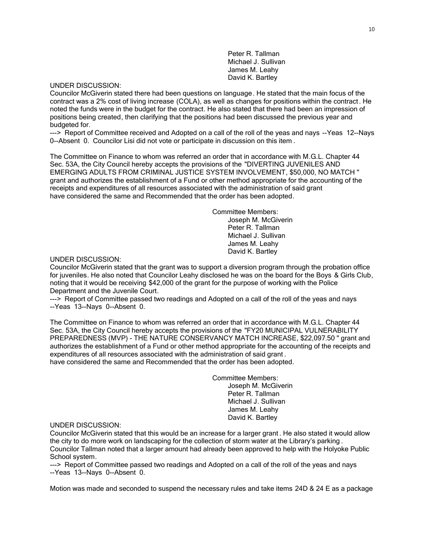Peter R. Tallman Michael J. Sullivan James M. Leahy David K. Bartley

## UNDER DISCUSSION:

Councilor McGiverin stated there had been questions on language. He stated that the main focus of the contract was a 2% cost of living increase (COLA), as well as changes for positions within the contract. He noted the funds were in the budget for the contract. He also stated that there had been an impression of positions being created, then clarifying that the positions had been discussed the previous year and budgeted for.

---> Report of Committee received and Adopted on a call of the roll of the yeas and nays --Yeas 12--Nays 0--Absent 0. Councilor Lisi did not vote or participate in discussion on this item .

The Committee on Finance to whom was referred an order that in accordance with M.G.L. Chapter 44 Sec. 53A, the City Council hereby accepts the provisions of the "DIVERTING JUVENILES AND EMERGING ADULTS FROM CRIMINAL JUSTICE SYSTEM INVOLVEMENT, \$50,000, NO MATCH " grant and authorizes the establishment of a Fund or other method appropriate for the accounting of the receipts and expenditures of all resources associated with the administration of said grant have considered the same and Recommended that the order has been adopted.

> Committee Members: Joseph M. McGiverin Peter R. Tallman Michael J. Sullivan James M. Leahy

> > David K. Bartley

#### UNDER DISCUSSION:

Councilor McGiverin stated that the grant was to support a diversion program through the probation office for juveniles. He also noted that Councilor Leahy disclosed he was on the board for the Boys & Girls Club, noting that it would be receiving \$42,000 of the grant for the purpose of working with the Police Department and the Juvenile Court.

---> Report of Committee passed two readings and Adopted on a call of the roll of the yeas and nays --Yeas 13--Nays 0--Absent 0.

The Committee on Finance to whom was referred an order that in accordance with M.G.L. Chapter 44 Sec. 53A, the City Council hereby accepts the provisions of the "FY20 MUNICIPAL VULNERABILITY PREPAREDNESS (MVP) - THE NATURE CONSERVANCY MATCH INCREASE, \$22,097.50 " grant and authorizes the establishment of a Fund or other method appropriate for the accounting of the receipts and expenditures of all resources associated with the administration of said grant . have considered the same and Recommended that the order has been adopted.

> Committee Members: Joseph M. McGiverin Peter R. Tallman Michael J. Sullivan James M. Leahy David K. Bartley

## UNDER DISCUSSION:

Councilor McGiverin stated that this would be an increase for a larger grant . He also stated it would allow the city to do more work on landscaping for the collection of storm water at the Library's parking . Councilor Tallman noted that a larger amount had already been approved to help with the Holyoke Public School system.

---> Report of Committee passed two readings and Adopted on a call of the roll of the yeas and nays --Yeas 13--Nays 0--Absent 0.

Motion was made and seconded to suspend the necessary rules and take items 24D & 24 E as a package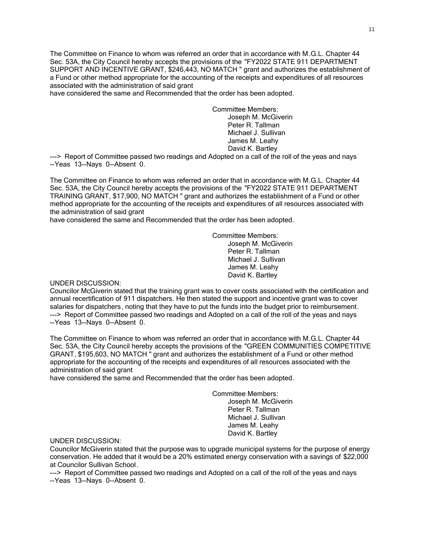The Committee on Finance to whom was referred an order that in accordance with M.G.L. Chapter 44 Sec. 53A, the City Council hereby accepts the provisions of the "FY2022 STATE 911 DEPARTMENT SUPPORT AND INCENTIVE GRANT, \$246,443, NO MATCH " grant and authorizes the establishment of a Fund or other method appropriate for the accounting of the receipts and expenditures of all resources associated with the administration of said grant

have considered the same and Recommended that the order has been adopted.

Committee Members: Joseph M. McGiverin Peter R. Tallman Michael J. Sullivan James M. Leahy David K. Bartley

---> Report of Committee passed two readings and Adopted on a call of the roll of the yeas and nays --Yeas 13--Nays 0--Absent 0.

The Committee on Finance to whom was referred an order that in accordance with M.G.L. Chapter 44 Sec. 53A, the City Council hereby accepts the provisions of the "FY2022 STATE 911 DEPARTMENT TRAINING GRANT, \$17,900, NO MATCH " grant and authorizes the establishment of a Fund or other method appropriate for the accounting of the receipts and expenditures of all resources associated with the administration of said grant

have considered the same and Recommended that the order has been adopted.

Committee Members: Joseph M. McGiverin Peter R. Tallman Michael J. Sullivan James M. Leahy David K. Bartley

## UNDER DISCUSSION:

Councilor McGiverin stated that the training grant was to cover costs associated with the certification and annual recertification of 911 dispatchers. He then stated the support and incentive grant was to cover salaries for dispatchers, noting that they have to put the funds into the budget prior to reimbursement. ---> Report of Committee passed two readings and Adopted on a call of the roll of the yeas and nays --Yeas 13--Nays 0--Absent 0.

The Committee on Finance to whom was referred an order that in accordance with M.G.L. Chapter 44 Sec. 53A, the City Council hereby accepts the provisions of the "GREEN COMMUNITIES COMPETITIVE GRANT, \$195,603, NO MATCH " grant and authorizes the establishment of a Fund or other method appropriate for the accounting of the receipts and expenditures of all resources associated with the administration of said grant

have considered the same and Recommended that the order has been adopted.

Committee Members: Joseph M. McGiverin Peter R. Tallman Michael J. Sullivan James M. Leahy David K. Bartley

## UNDER DISCUSSION:

Councilor McGiverin stated that the purpose was to upgrade municipal systems for the purpose of energy conservation. He added that it would be a 20% estimated energy conservation with a savings of \$22,000 at Councilor Sullivan School.

---> Report of Committee passed two readings and Adopted on a call of the roll of the yeas and nays --Yeas 13--Nays 0--Absent 0.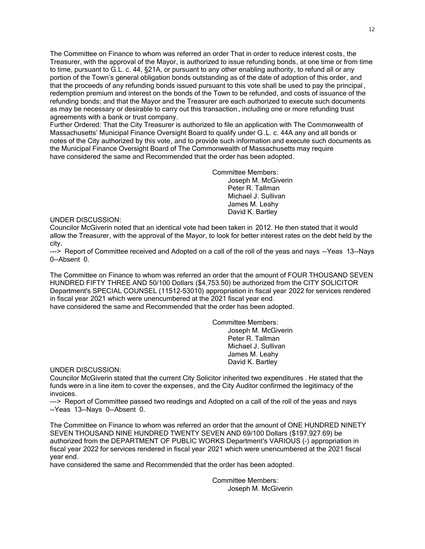The Committee on Finance to whom was referred an order That in order to reduce interest costs, the Treasurer, with the approval of the Mayor, is authorized to issue refunding bonds, at one time or from time to time, pursuant to G.L. c. 44, §21A, or pursuant to any other enabling authority, to refund all or any portion of the Town's general obligation bonds outstanding as of the date of adoption of this order, and that the proceeds of any refunding bonds issued pursuant to this vote shall be used to pay the principal , redemption premium and interest on the bonds of the Town to be refunded, and costs of issuance of the refunding bonds; and that the Mayor and the Treasurer are each authorized to execute such documents as may be necessary or desirable to carry out this transaction , including one or more refunding trust agreements with a bank or trust company.

Further Ordered: That the City Treasurer is authorized to file an application with The Commonwealth of Massachusetts' Municipal Finance Oversight Board to qualify under G .L. c. 44A any and all bonds or notes of the City authorized by this vote, and to provide such information and execute such documents as the Municipal Finance Oversight Board of The Commonwealth of Massachusetts may require have considered the same and Recommended that the order has been adopted.

> Committee Members: Joseph M. McGiverin Peter R. Tallman Michael J. Sullivan James M. Leahy David K. Bartley

UNDER DISCUSSION:

Councilor McGiverin noted that an identical vote had been taken in 2012. He then stated that it would allow the Treasurer, with the approval of the Mayor, to look for better interest rates on the debt held by the city.

---> Report of Committee received and Adopted on a call of the roll of the yeas and nays --Yeas 13--Nays 0--Absent 0.

The Committee on Finance to whom was referred an order that the amount of FOUR THOUSAND SEVEN HUNDRED FIFTY THREE AND 50/100 Dollars (\$4,753.50) be authorized from the CITY SOLICITOR Department's SPECIAL COUNSEL (11512-53010) appropriation in fiscal year 2022 for services rendered in fiscal year 2021 which were unencumbered at the 2021 fiscal year end.

have considered the same and Recommended that the order has been adopted.

Committee Members: Joseph M. McGiverin Peter R. Tallman Michael J. Sullivan James M. Leahy David K. Bartley

UNDER DISCUSSION:

Councilor McGiverin stated that the current City Solicitor inherited two expenditures . He stated that the funds were in a line item to cover the expenses, and the City Auditor confirmed the legitimacy of the invoices.

---> Report of Committee passed two readings and Adopted on a call of the roll of the yeas and nays --Yeas 13--Nays 0--Absent 0.

The Committee on Finance to whom was referred an order that the amount of ONE HUNDRED NINETY SEVEN THOUSAND NINE HUNDRED TWENTY SEVEN AND 69/100 Dollars (\$197,927.69) be authorized from the DEPARTMENT OF PUBLIC WORKS Department's VARIOUS (-) appropriation in fiscal year 2022 for services rendered in fiscal year 2021 which were unencumbered at the 2021 fiscal year end.

have considered the same and Recommended that the order has been adopted.

Committee Members: Joseph M. McGiverin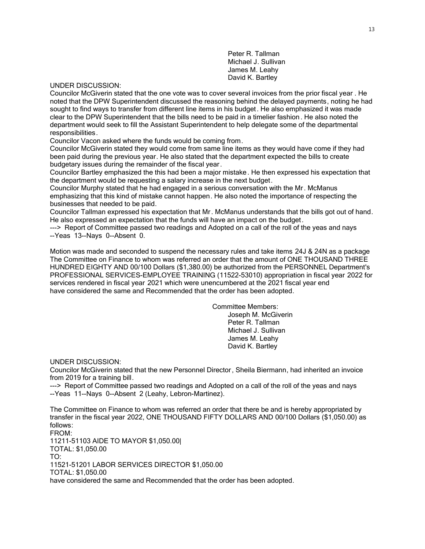Peter R. Tallman Michael J. Sullivan James M. Leahy David K. Bartley

## UNDER DISCUSSION:

Councilor McGiverin stated that the one vote was to cover several invoices from the prior fiscal year . He noted that the DPW Superintendent discussed the reasoning behind the delayed payments, noting he had sought to find ways to transfer from different line items in his budget. He also emphasized it was made clear to the DPW Superintendent that the bills need to be paid in a timelier fashion . He also noted the department would seek to fill the Assistant Superintendent to help delegate some of the departmental responsibilities.

Councilor Vacon asked where the funds would be coming from.

Councilor McGiverin stated they would come from same line items as they would have come if they had been paid during the previous year. He also stated that the department expected the bills to create budgetary issues during the remainder of the fiscal year.

Councilor Bartley emphasized the this had been a major mistake. He then expressed his expectation that the department would be requesting a salary increase in the next budget.

Councilor Murphy stated that he had engaged in a serious conversation with the Mr. McManus emphasizing that this kind of mistake cannot happen. He also noted the importance of respecting the businesses that needed to be paid.

Councilor Tallman expressed his expectation that Mr. McManus understands that the bills got out of hand. He also expressed an expectation that the funds will have an impact on the budget.

---> Report of Committee passed two readings and Adopted on a call of the roll of the yeas and nays --Yeas 13--Nays 0--Absent 0.

Motion was made and seconded to suspend the necessary rules and take items 24J & 24N as a package The Committee on Finance to whom was referred an order that the amount of ONE THOUSAND THREE HUNDRED EIGHTY AND 00/100 Dollars (\$1,380.00) be authorized from the PERSONNEL Department's PROFESSIONAL SERVICES-EMPLOYEE TRAINING (11522-53010) appropriation in fiscal year 2022 for services rendered in fiscal year 2021 which were unencumbered at the 2021 fiscal year end have considered the same and Recommended that the order has been adopted.

> Committee Members: Joseph M. McGiverin Peter R. Tallman Michael J. Sullivan James M. Leahy David K. Bartley

UNDER DISCUSSION:

Councilor McGiverin stated that the new Personnel Director , Sheila Biermann, had inherited an invoice from 2019 for a training bill.

---> Report of Committee passed two readings and Adopted on a call of the roll of the yeas and nays --Yeas 11--Nays 0--Absent 2 (Leahy, Lebron-Martinez).

The Committee on Finance to whom was referred an order that there be and is hereby appropriated by transfer in the fiscal year 2022, ONE THOUSAND FIFTY DOLLARS AND 00/100 Dollars (\$1,050.00) as follows: FROM: 11211-51103 AIDE TO MAYOR \$1,050.00| TOTAL: \$1,050.00 TO: 11521-51201 LABOR SERVICES DIRECTOR \$1,050.00 TOTAL: \$1,050.00 have considered the same and Recommended that the order has been adopted.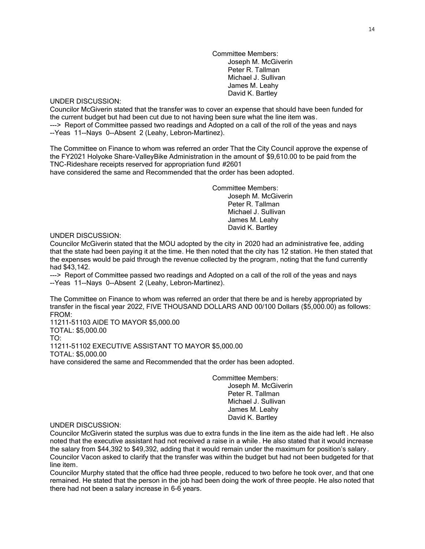Committee Members: Joseph M. McGiverin Peter R. Tallman Michael J. Sullivan James M. Leahy David K. Bartley

## UNDER DISCUSSION:

Councilor McGiverin stated that the transfer was to cover an expense that should have been funded for the current budget but had been cut due to not having been sure what the line item was. ---> Report of Committee passed two readings and Adopted on a call of the roll of the yeas and nays --Yeas 11--Nays 0--Absent 2 (Leahy, Lebron-Martinez).

The Committee on Finance to whom was referred an order That the City Council approve the expense of the FY2021 Holyoke Share-ValleyBike Administration in the amount of \$9,610.00 to be paid from the TNC-Rideshare receipts reserved for appropriation fund #2601

have considered the same and Recommended that the order has been adopted.

Committee Members: Joseph M. McGiverin Peter R. Tallman Michael J. Sullivan James M. Leahy David K. Bartley

## UNDER DISCUSSION:

Councilor McGiverin stated that the MOU adopted by the city in 2020 had an administrative fee, adding that the state had been paying it at the time. He then noted that the city has 12 station. He then stated that the expenses would be paid through the revenue collected by the program, noting that the fund currently had \$43,142.

---> Report of Committee passed two readings and Adopted on a call of the roll of the yeas and nays --Yeas 11--Nays 0--Absent 2 (Leahy, Lebron-Martinez).

The Committee on Finance to whom was referred an order that there be and is hereby appropriated by transfer in the fiscal year 2022, FIVE THOUSAND DOLLARS AND 00/100 Dollars (\$5,000.00) as follows: FROM:

11211-51103 AIDE TO MAYOR \$5,000.00 TOTAL: \$5,000.00 TO: 11211-51102 EXECUTIVE ASSISTANT TO MAYOR \$5,000.00 TOTAL: \$5,000.00 have considered the same and Recommended that the order has been adopted.

> Committee Members: Joseph M. McGiverin Peter R. Tallman Michael J. Sullivan James M. Leahy David K. Bartley

## UNDER DISCUSSION:

Councilor McGiverin stated the surplus was due to extra funds in the line item as the aide had left . He also noted that the executive assistant had not received a raise in a while . He also stated that it would increase the salary from \$44,392 to \$49,392, adding that it would remain under the maximum for position's salary . Councilor Vacon asked to clarify that the transfer was within the budget but had not been budgeted for that line item.

Councilor Murphy stated that the office had three people, reduced to two before he took over, and that one remained. He stated that the person in the job had been doing the work of three people. He also noted that there had not been a salary increase in 6-6 years.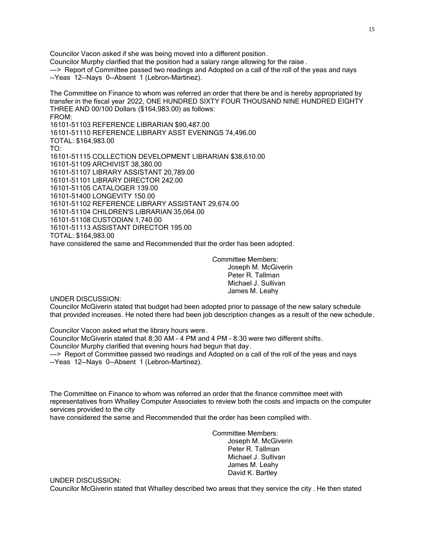Councilor Vacon asked if she was being moved into a different position . Councilor Murphy clarified that the position had a salary range allowing for the raise . ---> Report of Committee passed two readings and Adopted on a call of the roll of the yeas and nays --Yeas 12--Nays 0--Absent 1 (Lebron-Martinez).

The Committee on Finance to whom was referred an order that there be and is hereby appropriated by transfer in the fiscal year 2022, ONE HUNDRED SIXTY FOUR THOUSAND NINE HUNDRED EIGHTY THREE AND 00/100 Dollars (\$164,983.00) as follows: FROM: 16101-51103 REFERENCE LIBRARIAN \$90,487.00 16101-51110 REFERENCE LIBRARY ASST EVENINGS 74,496.00 TOTAL: \$164,983.00 TO: 16101-51115 COLLECTION DEVELOPMENT LIBRARIAN \$38,610.00 16101-51109 ARCHIVIST 38,380.00 16101-51107 LIBRARY ASSISTANT 20,789.00 16101-51101 LIBRARY DIRECTOR 242.00 16101-51105 CATALOGER 139.00 16101-51400 LONGEVITY 150.00 16101-51102 REFERENCE LIBRARY ASSISTANT 29,674.00 16101-51104 CHILDREN'S LIBRARIAN 35,064.00 16101-51108 CUSTODIAN 1,740.00 16101-51113 ASSISTANT DIRECTOR 195.00 TOTAL: \$164,983.00 have considered the same and Recommended that the order has been adopted.

> Committee Members: Joseph M. McGiverin Peter R. Tallman Michael J. Sullivan James M. Leahy

UNDER DISCUSSION:

Councilor McGiverin stated that budget had been adopted prior to passage of the new salary schedule that provided increases. He noted there had been job description changes as a result of the new schedule.

Councilor Vacon asked what the library hours were.

Councilor McGiverin stated that 8:30 AM - 4 PM and 4 PM - 8:30 were two different shifts.

Councilor Murphy clarified that evening hours had begun that day.

---> Report of Committee passed two readings and Adopted on a call of the roll of the yeas and nays --Yeas 12--Nays 0--Absent 1 (Lebron-Martinez).

The Committee on Finance to whom was referred an order that the finance committee meet with representatives from Whalley Computer Associates to review both the costs and impacts on the computer services provided to the city

have considered the same and Recommended that the order has been complied with.

Committee Members: Joseph M. McGiverin Peter R. Tallman Michael J. Sullivan James M. Leahy David K. Bartley

UNDER DISCUSSION:

Councilor McGiverin stated that Whalley described two areas that they service the city . He then stated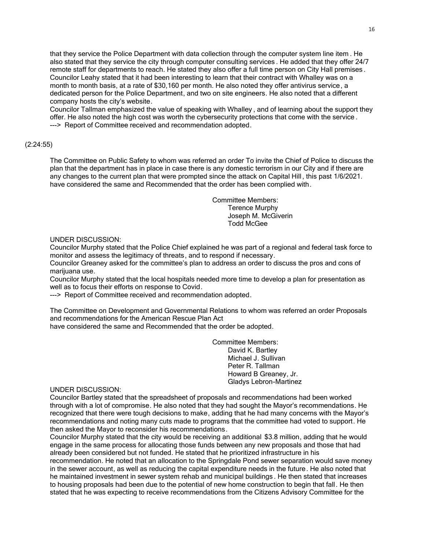that they service the Police Department with data collection through the computer system line item . He also stated that they service the city through computer consulting services . He added that they offer 24/7 remote staff for departments to reach. He stated they also offer a full time person on City Hall premises . Councilor Leahy stated that it had been interesting to learn that their contract with Whalley was on a month to month basis, at a rate of \$30,160 per month. He also noted they offer antivirus service, a dedicated person for the Police Department, and two on site engineers. He also noted that a different company hosts the city's website.

Councilor Tallman emphasized the value of speaking with Whalley , and of learning about the support they offer. He also noted the high cost was worth the cybersecurity protections that come with the service . ---> Report of Committee received and recommendation adopted.

## (2:24:55)

The Committee on Public Safety to whom was referred an order To invite the Chief of Police to discuss the plan that the department has in place in case there is any domestic terrorism in our City and if there are any changes to the current plan that were prompted since the attack on Capital Hill , this past 1/6/2021. have considered the same and Recommended that the order has been complied with.

> Committee Members: Terence Murphy Joseph M. McGiverin Todd McGee

## UNDER DISCUSSION:

Councilor Murphy stated that the Police Chief explained he was part of a regional and federal task force to monitor and assess the legitimacy of threats, and to respond if necessary.

Councilor Greaney asked for the committee's plan to address an order to discuss the pros and cons of marijuana use.

Councilor Murphy stated that the local hospitals needed more time to develop a plan for presentation as well as to focus their efforts on response to Covid.

---> Report of Committee received and recommendation adopted.

The Committee on Development and Governmental Relations to whom was referred an order Proposals and recommendations for the American Rescue Plan Act

have considered the same and Recommended that the order be adopted.

Committee Members: David K. Bartley Michael J. Sullivan Peter R. Tallman Howard B Greaney, Jr. Gladys Lebron-Martinez

## UNDER DISCUSSION:

Councilor Bartley stated that the spreadsheet of proposals and recommendations had been worked through with a lot of compromise. He also noted that they had sought the Mayor's recommendations. He recognized that there were tough decisions to make, adding that he had many concerns with the Mayor's recommendations and noting many cuts made to programs that the committee had voted to support. He then asked the Mayor to reconsider his recommendations.

Councilor Murphy stated that the city would be receiving an additional \$3.8 million, adding that he would engage in the same process for allocating those funds between any new proposals and those that had already been considered but not funded. He stated that he prioritized infrastructure in his

recommendation. He noted that an allocation to the Springdale Pond sewer separation would save money in the sewer account, as well as reducing the capital expenditure needs in the future. He also noted that he maintained investment in sewer system rehab and municipal buildings . He then stated that increases to housing proposals had been due to the potential of new home construction to begin that fall. He then stated that he was expecting to receive recommendations from the Citizens Advisory Committee for the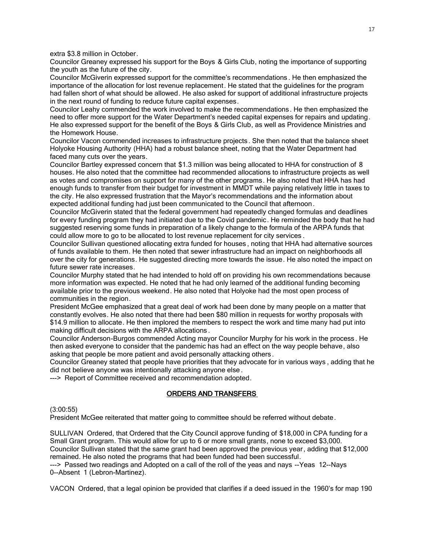extra \$3.8 million in October.

Councilor Greaney expressed his support for the Boys & Girls Club, noting the importance of supporting the youth as the future of the city.

Councilor McGiverin expressed support for the committee's recommendations . He then emphasized the importance of the allocation for lost revenue replacement. He stated that the guidelines for the program had fallen short of what should be allowed. He also asked for support of additional infrastructure projects in the next round of funding to reduce future capital expenses.

Councilor Leahy commended the work involved to make the recommendations. He then emphasized the need to offer more support for the Water Department's needed capital expenses for repairs and updating. He also expressed support for the benefit of the Boys & Girls Club, as well as Providence Ministries and the Homework House.

Councilor Vacon commended increases to infrastructure projects . She then noted that the balance sheet Holyoke Housing Authority (HHA) had a robust balance sheet, noting that the Water Department had faced many cuts over the years.

Councilor Bartley expressed concern that \$1.3 million was being allocated to HHA for construction of 8 houses. He also noted that the committee had recommended allocations to infrastructure projects as well as votes and compromises on support for many of the other programs. He also noted that HHA has had enough funds to transfer from their budget for investment in MMDT while paying relatively little in taxes to the city. He also expressed frustration that the Mayor's recommendations and the information about expected additional funding had just been communicated to the Council that afternoon.

Councilor McGiverin stated that the federal government had repeatedly changed formulas and deadlines for every funding program they had initiated due to the Covid pandemic. He reminded the body that he had suggested reserving some funds in preparation of a likely change to the formula of the ARPA funds that could allow more to go to be allocated to lost revenue replacement for city services .

Councilor Sullivan questioned allocating extra funded for houses , noting that HHA had alternative sources of funds available to them. He then noted that sewer infrastructure had an impact on neighborhoods all over the city for generations. He suggested directing more towards the issue. He also noted the impact on future sewer rate increases.

Councilor Murphy stated that he had intended to hold off on providing his own recommendations because more information was expected. He noted that he had only learned of the additional funding becoming available prior to the previous weekend. He also noted that Holyoke had the most open process of communities in the region.

President McGee emphasized that a great deal of work had been done by many people on a matter that constantly evolves. He also noted that there had been \$80 million in requests for worthy proposals with \$14.9 million to allocate. He then implored the members to respect the work and time many had put into making difficult decisions with the ARPA allocations .

Councilor Anderson-Burgos commended Acting mayor Councilor Murphy for his work in the process . He then asked everyone to consider that the pandemic has had an effect on the way people behave, also asking that people be more patient and avoid personally attacking others.

Councilor Greaney stated that people have priorities that they advocate for in various ways , adding that he did not believe anyone was intentionally attacking anyone else .

---> Report of Committee received and recommendation adopted.

## ORDERS AND TRANSFERS

(3:00:55)

President McGee reiterated that matter going to committee should be referred without debate.

SULLIVAN Ordered, that Ordered that the City Council approve funding of \$18,000 in CPA funding for a Small Grant program. This would allow for up to 6 or more small grants, none to exceed \$3,000. Councilor Sullivan stated that the same grant had been approved the previous year, adding that \$12,000 remained. He also noted the programs that had been funded had been successful.

---> Passed two readings and Adopted on a call of the roll of the yeas and nays --Yeas 12--Nays 0--Absent 1 (Lebron-Martinez).

VACON Ordered, that a legal opinion be provided that clarifies if a deed issued in the 1960's for map 190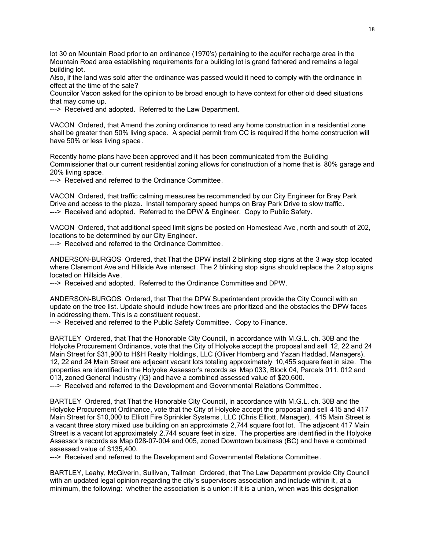lot 30 on Mountain Road prior to an ordinance (1970's) pertaining to the aquifer recharge area in the Mountain Road area establishing requirements for a building lot is grand fathered and remains a legal building lot.

Also, if the land was sold after the ordinance was passed would it need to comply with the ordinance in effect at the time of the sale?

Councilor Vacon asked for the opinion to be broad enough to have context for other old deed situations that may come up.

---> Received and adopted. Referred to the Law Department.

VACON Ordered, that Amend the zoning ordinance to read any home construction in a residential zone shall be greater than 50% living space. A special permit from CC is required if the home construction will have 50% or less living space.

Recently home plans have been approved and it has been communicated from the Building Commissioner that our current residential zoning allows for construction of a home that is 80% garage and 20% living space.

---> Received and referred to the Ordinance Committee.

VACON Ordered, that traffic calming measures be recommended by our City Engineer for Bray Park Drive and access to the plaza. Install temporary speed humps on Bray Park Drive to slow traffic . ---> Received and adopted. Referred to the DPW & Engineer. Copy to Public Safety.

VACON Ordered, that additional speed limit signs be posted on Homestead Ave, north and south of 202, locations to be determined by our City Engineer.

---> Received and referred to the Ordinance Committee.

ANDERSON-BURGOS Ordered, that That the DPW install 2 blinking stop signs at the 3 way stop located where Claremont Ave and Hillside Ave intersect. The 2 blinking stop signs should replace the 2 stop signs located on Hillside Ave.

---> Received and adopted. Referred to the Ordinance Committee and DPW.

ANDERSON-BURGOS Ordered, that That the DPW Superintendent provide the City Council with an update on the tree list. Update should include how trees are prioritized and the obstacles the DPW faces in addressing them. This is a constituent request.

---> Received and referred to the Public Safety Committee. Copy to Finance.

BARTLEY Ordered, that That the Honorable City Council, in accordance with M.G.L. ch. 30B and the Holyoke Procurement Ordinance, vote that the City of Holyoke accept the proposal and sell 12, 22 and 24 Main Street for \$31,900 to H&H Realty Holdings, LLC (Oliver Homberg and Yazan Haddad, Managers). 12, 22 and 24 Main Street are adjacent vacant lots totaling approximately 10,455 square feet in size. The properties are identified in the Holyoke Assessor's records as Map 033, Block 04, Parcels 011, 012 and 013, zoned General Industry (IG) and have a combined assessed value of \$20,600.

---> Received and referred to the Development and Governmental Relations Committee.

BARTLEY Ordered, that That the Honorable City Council, in accordance with M.G.L. ch. 30B and the Holyoke Procurement Ordinance, vote that the City of Holyoke accept the proposal and sell 415 and 417 Main Street for \$10,000 to Elliott Fire Sprinkler Systems, LLC (Chris Elliott, Manager). 415 Main Street is a vacant three story mixed use building on an approximate 2,744 square foot lot. The adjacent 417 Main Street is a vacant lot approximately 2,744 square feet in size. The properties are identified in the Holyoke Assessor's records as Map 028-07-004 and 005, zoned Downtown business (BC) and have a combined assessed value of \$135,400.

---> Received and referred to the Development and Governmental Relations Committee.

BARTLEY, Leahy, McGiverin, Sullivan, Tallman Ordered, that The Law Department provide City Council with an updated legal opinion regarding the city's supervisors association and include within it , at a minimum, the following: whether the association is a union: if it is a union, when was this designation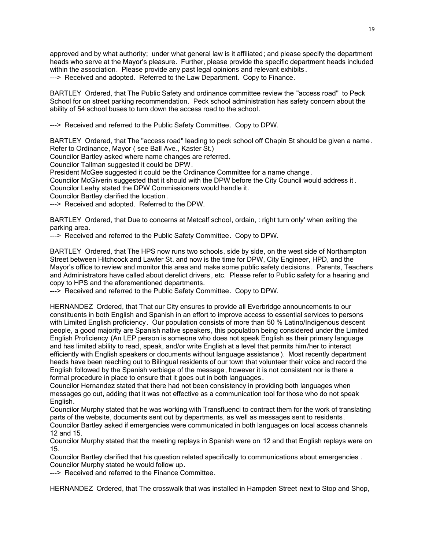approved and by what authority; under what general law is it affiliated; and please specify the department heads who serve at the Mayor's pleasure. Further, please provide the specific department heads included within the association. Please provide any past legal opinions and relevant exhibits . ---> Received and adopted. Referred to the Law Department. Copy to Finance.

BARTLEY Ordered, that The Public Safety and ordinance committee review the "access road" to Peck School for on street parking recommendation. Peck school administration has safety concern about the ability of 54 school buses to turn down the access road to the school.

---> Received and referred to the Public Safety Committee. Copy to DPW.

BARTLEY Ordered, that The "access road" leading to peck school off Chapin St should be given a name. Refer to Ordinance, Mayor ( see Ball Ave., Kaster St.)

Councilor Bartley asked where name changes are referred.

Councilor Tallman suggested it could be DPW.

President McGee suggested it could be the Ordinance Committee for a name change.

Councilor McGiverin suggested that it should with the DPW before the City Council would address it .

Councilor Leahy stated the DPW Commissioners would handle it.

Councilor Bartley clarified the location .

---> Received and adopted. Referred to the DPW.

BARTLEY Ordered, that Due to concerns at Metcalf school, ordain, : right turn only' when exiting the parking area.

---> Received and referred to the Public Safety Committee. Copy to DPW.

BARTLEY Ordered, that The HPS now runs two schools, side by side, on the west side of Northampton Street between Hitchcock and Lawler St. and now is the time for DPW, City Engineer, HPD, and the Mayor's office to review and monitor this area and make some public safety decisions . Parents, Teachers and Administrators have called about derelict drivers , etc. Please refer to Public safety for a hearing and copy to HPS and the aforementioned departments.

---> Received and referred to the Public Safety Committee. Copy to DPW.

HERNANDEZ Ordered, that That our City ensures to provide all Everbridge announcements to our constituents in both English and Spanish in an effort to improve access to essential services to persons with Limited English proficiency. Our population consists of more than 50 % Latino/Indigenous descent people, a good majority are Spanish native speakers, this population being considered under the Limited English Proficiency (An LEP person is someone who does not speak English as their primary language and has limited ability to read, speak, and/or write English at a level that permits him/her to interact efficiently with English speakers or documents without language assistance ). Most recently department heads have been reaching out to Bilingual residents of our town that volunteer their voice and record the English followed by the Spanish verbiage of the message, however it is not consistent nor is there a formal procedure in place to ensure that it goes out in both languages.

Councilor Hernandez stated that there had not been consistency in providing both languages when messages go out, adding that it was not effective as a communication tool for those who do not speak English.

Councilor Murphy stated that he was working with Transfluenci to contract them for the work of translating parts of the website, documents sent out by departments, as well as messages sent to residents.

Councilor Bartley asked if emergencies were communicated in both languages on local access channels 12 and 15.

Councilor Murphy stated that the meeting replays in Spanish were on 12 and that English replays were on 15.

Councilor Bartley clarified that his question related specifically to communications about emergencies . Councilor Murphy stated he would follow up.

---> Received and referred to the Finance Committee.

HERNANDEZ Ordered, that The crosswalk that was installed in Hampden Street next to Stop and Shop,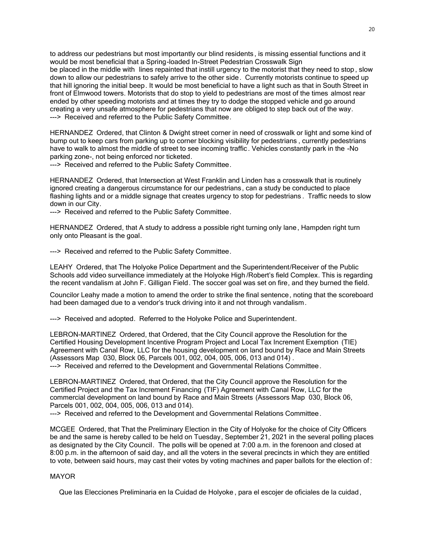to address our pedestrians but most importantly our blind residents , is missing essential functions and it would be most beneficial that a Spring-loaded In-Street Pedestrian Crosswalk Sign

be placed in the middle with lines repainted that instill urgency to the motorist that they need to stop , slow down to allow our pedestrians to safely arrive to the other side. Currently motorists continue to speed up that hill ignoring the initial beep. It would be most beneficial to have a light such as that in South Street in front of Elmwood towers. Motorists that do stop to yield to pedestrians are most of the times almost rear ended by other speeding motorists and at times they try to dodge the stopped vehicle and go around creating a very unsafe atmosphere for pedestrians that now are obliged to step back out of the way. ---> Received and referred to the Public Safety Committee.

HERNANDEZ Ordered, that Clinton & Dwight street corner in need of crosswalk or light and some kind of bump out to keep cars from parking up to corner blocking visibility for pedestrians , currently pedestrians have to walk to almost the middle of street to see incoming traffic. Vehicles constantly park in the -No parking zone-, not being enforced nor ticketed.

---> Received and referred to the Public Safety Committee.

HERNANDEZ Ordered, that Intersection at West Franklin and Linden has a crosswalk that is routinely ignored creating a dangerous circumstance for our pedestrians, can a study be conducted to place flashing lights and or a middle signage that creates urgency to stop for pedestrians . Traffic needs to slow down in our City.

---> Received and referred to the Public Safety Committee.

HERNANDEZ Ordered, that A study to address a possible right turning only lane, Hampden right turn only onto Pleasant is the goal.

---> Received and referred to the Public Safety Committee.

LEAHY Ordered, that The Holyoke Police Department and the Superintendent/Receiver of the Public Schools add video surveillance immediately at the Holyoke High /Robert's field Complex. This is regarding the recent vandalism at John F. Gilligan Field. The soccer goal was set on fire, and they burned the field.

Councilor Leahy made a motion to amend the order to strike the final sentence, noting that the scoreboard had been damaged due to a vendor's truck driving into it and not through vandalism.

---> Received and adopted. Referred to the Holyoke Police and Superintendent.

LEBRON-MARTINEZ Ordered, that Ordered, that the City Council approve the Resolution for the Certified Housing Development Incentive Program Project and Local Tax Increment Exemption (TIE) Agreement with Canal Row, LLC for the housing development on land bound by Race and Main Streets (Assessors Map 030, Block 06, Parcels 001, 002, 004, 005, 006, 013 and 014) . ---> Received and referred to the Development and Governmental Relations Committee.

LEBRON-MARTINEZ Ordered, that Ordered, that the City Council approve the Resolution for the Certified Project and the Tax Increment Financing (TIF) Agreement with Canal Row, LLC for the commercial development on land bound by Race and Main Streets (Assessors Map 030, Block 06, Parcels 001, 002, 004, 005, 006, 013 and 014).

---> Received and referred to the Development and Governmental Relations Committee.

MCGEE Ordered, that That the Preliminary Election in the City of Holyoke for the choice of City Officers be and the same is hereby called to be held on Tuesday, September 21, 2021 in the several polling places as designated by the City Council. The polls will be opened at 7:00 a.m. in the forenoon and closed at 8:00 p.m. in the afternoon of said day, and all the voters in the several precincts in which they are entitled to vote, between said hours, may cast their votes by voting machines and paper ballots for the election of :

## MAYOR

Que las Elecciones Preliminaria en la Cuidad de Holyoke , para el escojer de oficiales de la cuidad,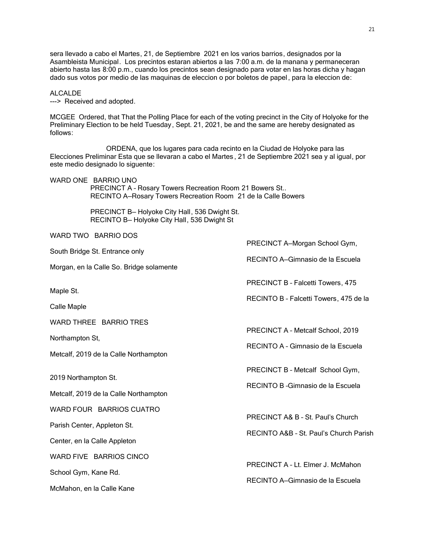sera llevado a cabo el Martes, 21, de Septiembre 2021 en los varios barrios, designados por la Asambleista Municipal. Los precintos estaran abiertos a las 7:00 a.m. de la manana y permaneceran abierto hasta las 8:00 p.m., cuando los precintos sean designado para votar en las horas dicha y hagan dado sus votos por medio de las maquinas de eleccion o por boletos de papel, para la eleccion de:

ALCALDE

---> Received and adopted.

MCGEE Ordered, that That the Polling Place for each of the voting precinct in the City of Holyoke for the Preliminary Election to be held Tuesday, Sept. 21, 2021, be and the same are hereby designated as follows:

ORDENA, que los lugares para cada recinto en la Ciudad de Holyoke para las Elecciones Preliminar Esta que se llevaran a cabo el Martes , 21 de Septiembre 2021 sea y al igual, por este medio designado lo siguente:

WARD ONE BARRIO UNO

 PRECINCT A – Rosary Towers Recreation Room 21 Bowers St.. RECINTO A—Rosary Towers Recreation Room 21 de la Calle Bowers

 PRECINCT B— Holyoke City Hall, 536 Dwight St. RECINTO B— Holyoke City Hall, 536 Dwight St

WARD TWO BARRIO DOS

PRECINCT A—Morgan School Gym, South Bridge St. Entrance only RECINTO A—Gimnasio de la Escuela Morgan, en la Calle So. Bridge solamente PRECINCT B – Falcetti Towers, 475 Maple St. RECINTO B – Falcetti Towers, 475 de la Calle Maple WARD THREE BARRIO TRES PRECINCT A – Metcalf School, 2019 Northampton St, RECINTO A – Gimnasio de la Escuela Metcalf, 2019 de la Calle Northampton PRECINCT B – Metcalf School Gym, 2019 Northampton St. RECINTO B –Gimnasio de la Escuela Metcalf, 2019 de la Calle Northampton WARD FOUR BARRIOS CUATRO PRECINCT A& B – St. Paul's Church Parish Center, Appleton St. RECINTO A&B – St. Paul's Church Parish Center, en la Calle Appleton WARD FIVE BARRIOS CINCO PRECINCT A – Lt. Elmer J. McMahon School Gym, Kane Rd. RECINTO A—Gimnasio de la Escuela McMahon, en la Calle Kane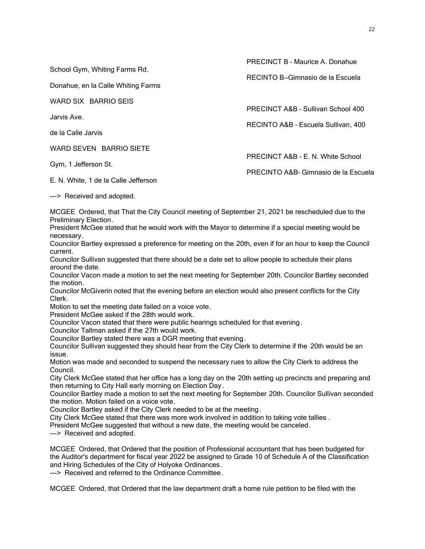School Gym, Whiting Farms Rd.

Donahue, en la Calle Whiting Farms

WARD SIX BARRIO SEIS

Jarvis Ave.

de la Calle Jarvis

WARD SEVEN BARRIO SIETE

Gym, 1 Jefferson St.

E. N. White, 1 de la Calle Jefferson

PRECINCT B – Maurice A. Donahue

RECINTO B—Gimnasio de la Escuela

PRECINCT A&B – Sullivan School 400

RECINTO A&B – Escuela Sullivan, 400

PRECINCT A&B - E. N. White School

PRECINTO A&B– Gimnasio de la Escuela

---> Received and adopted.

MCGEE Ordered, that That the City Council meeting of September 21, 2021 be rescheduled due to the Preliminary Election.

President McGee stated that he would work with the Mayor to determine if a special meeting would be necessary.

Councilor Bartley expressed a preference for meeting on the 20th, even if for an hour to keep the Council current.

Councilor Sullivan suggested that there should be a date set to allow people to schedule their plans around the date.

Councilor Vacon made a motion to set the next meeting for September 20th. Councilor Bartley seconded the motion.

Councilor McGiverin noted that the evening before an election would also present conflicts for the City Clerk.

Motion to set the meeting date failed on a voice vote.

President McGee asked if the 28th would work.

Councilor Vacon stated that there were public hearings scheduled for that evening .

Councilor Tallman asked if the 27th would work.

Councilor Bartley stated there was a DGR meeting that evening.

Councilor Sullivan suggested they should hear from the City Clerk to determine if the 20th would be an issue.

Motion was made and seconded to suspend the necessary rues to allow the City Clerk to address the Council.

City Clerk McGee stated that her office has a long day on the 20th setting up precincts and preparing and then returning to City Hall early morning on Election Day .

Councilor Bartley made a motion to set the next meeting for September 20th. Councilor Sullivan seconded the motion. Motion failed on a voice vote.

Councilor Bartley asked if the City Clerk needed to be at the meeting.

City Clerk McGee stated that there was more work involved in addition to taking vote tallies .

President McGee suggested that without a new date, the meeting would be canceled.

---> Received and adopted.

MCGEE Ordered, that Ordered that the position of Professional accountant that has been budgeted for the Auditor's department for fiscal year 2022 be assigned to Grade 10 of Schedule A of the Classification and Hiring Schedules of the City of Holyoke Ordinances.

---> Received and referred to the Ordinance Committee.

MCGEE Ordered, that Ordered that the law department draft a home rule petition to be filed with the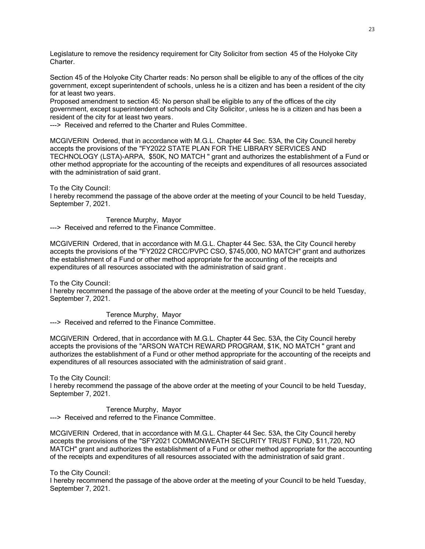Legislature to remove the residency requirement for City Solicitor from section 45 of the Holyoke City Charter.

Section 45 of the Holyoke City Charter reads: No person shall be eligible to any of the offices of the city government, except superintendent of schools, unless he is a citizen and has been a resident of the city for at least two years.

Proposed amendment to section 45: No person shall be eligible to any of the offices of the city government, except superintendent of schools and City Solicitor, unless he is a citizen and has been a resident of the city for at least two years.

---> Received and referred to the Charter and Rules Committee.

MCGIVERIN Ordered, that in accordance with M.G.L. Chapter 44 Sec. 53A, the City Council hereby accepts the provisions of the "FY2022 STATE PLAN FOR THE LIBRARY SERVICES AND TECHNOLOGY (LSTA)-ARPA, \$50K, NO MATCH " grant and authorizes the establishment of a Fund or other method appropriate for the accounting of the receipts and expenditures of all resources associated with the administration of said grant.

To the City Council:

I hereby recommend the passage of the above order at the meeting of your Council to be held Tuesday, September 7, 2021.

Terence Murphy, Mayor ---> Received and referred to the Finance Committee.

MCGIVERIN Ordered, that in accordance with M.G.L. Chapter 44 Sec. 53A, the City Council hereby accepts the provisions of the "FY2022 CRCC/PVPC CSO, \$745,000, NO MATCH" grant and authorizes the establishment of a Fund or other method appropriate for the accounting of the receipts and expenditures of all resources associated with the administration of said grant .

To the City Council:

I hereby recommend the passage of the above order at the meeting of your Council to be held Tuesday, September 7, 2021.

Terence Murphy, Mayor ---> Received and referred to the Finance Committee.

MCGIVERIN Ordered, that in accordance with M.G.L. Chapter 44 Sec. 53A, the City Council hereby accepts the provisions of the "ARSON WATCH REWARD PROGRAM, \$1K, NO MATCH " grant and authorizes the establishment of a Fund or other method appropriate for the accounting of the receipts and expenditures of all resources associated with the administration of said grant .

To the City Council:

I hereby recommend the passage of the above order at the meeting of your Council to be held Tuesday, September 7, 2021.

Terence Murphy, Mayor ---> Received and referred to the Finance Committee.

MCGIVERIN Ordered, that in accordance with M.G.L. Chapter 44 Sec. 53A, the City Council hereby accepts the provisions of the "SFY2021 COMMONWEATH SECURITY TRUST FUND, \$11,720, NO MATCH" grant and authorizes the establishment of a Fund or other method appropriate for the accounting of the receipts and expenditures of all resources associated with the administration of said grant .

To the City Council:

I hereby recommend the passage of the above order at the meeting of your Council to be held Tuesday, September 7, 2021.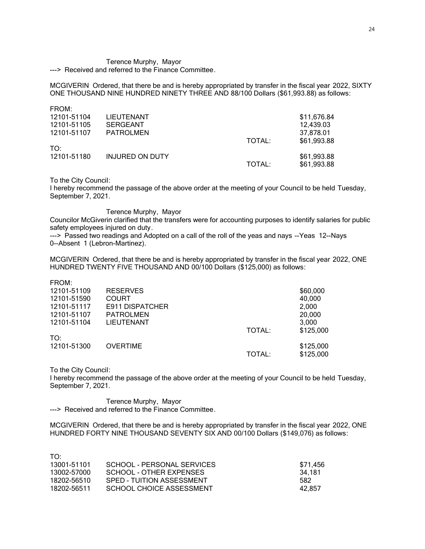# Terence Murphy, Mayor

---> Received and referred to the Finance Committee.

MCGIVERIN Ordered, that there be and is hereby appropriated by transfer in the fiscal year 2022, SIXTY ONE THOUSAND NINE HUNDRED NINETY THREE AND 88/100 Dollars (\$61,993.88) as follows:

| FROM:       |                        |        |             |
|-------------|------------------------|--------|-------------|
| 12101-51104 | LIEUTENANT             |        | \$11,676.84 |
| 12101-51105 | SERGEANT               |        | 12,439.03   |
| 12101-51107 | <b>PATROLMEN</b>       |        | 37.878.01   |
|             |                        | TOTAL: | \$61,993.88 |
| TO:         |                        |        |             |
| 12101-51180 | <b>INJURED ON DUTY</b> |        | \$61,993.88 |
|             |                        | TOTAL: | \$61,993.88 |
|             |                        |        |             |

To the City Council:

I hereby recommend the passage of the above order at the meeting of your Council to be held Tuesday, September 7, 2021.

## Terence Murphy, Mayor

Councilor McGiverin clarified that the transfers were for accounting purposes to identify salaries for public safety employees injured on duty.

---> Passed two readings and Adopted on a call of the roll of the yeas and nays --Yeas 12--Nays 0--Absent 1 (Lebron-Martinez).

MCGIVERIN Ordered, that there be and is hereby appropriated by transfer in the fiscal year 2022, ONE HUNDRED TWENTY FIVE THOUSAND AND 00/100 Dollars (\$125,000) as follows:

|        | \$60,000  |
|--------|-----------|
|        | 40,000    |
|        | 2,000     |
|        | 20,000    |
|        | 3,000     |
| TOTAL: | \$125,000 |
|        |           |
|        | \$125,000 |
| TOTAL: | \$125,000 |
|        |           |

To the City Council:

 $T\Omega$ :

I hereby recommend the passage of the above order at the meeting of your Council to be held Tuesday, September 7, 2021.

Terence Murphy, Mayor ---> Received and referred to the Finance Committee.

MCGIVERIN Ordered, that there be and is hereby appropriated by transfer in the fiscal year 2022, ONE HUNDRED FORTY NINE THOUSAND SEVENTY SIX AND 00/100 Dollars (\$149,076) as follows:

| . <i>. .</i> |                            |          |
|--------------|----------------------------|----------|
| 13001-51101  | SCHOOL - PERSONAL SERVICES | \$71.456 |
| 13002-57000  | SCHOOL - OTHER EXPENSES    | 34.181   |
| 18202-56510  | SPED - TUITION ASSESSMENT  | 582      |
| 18202-56511  | SCHOOL CHOICE ASSESSMENT   | 42.857   |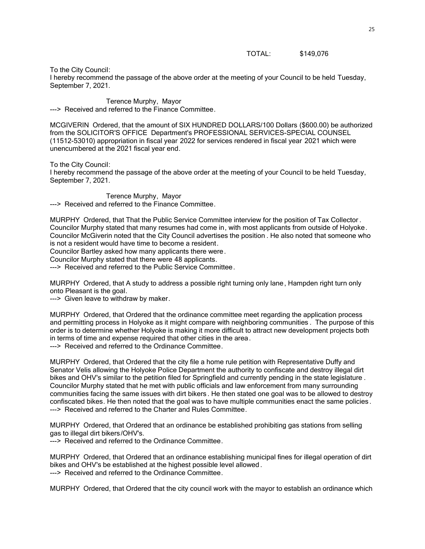TOTAL: \$149,076

To the City Council:

I hereby recommend the passage of the above order at the meeting of your Council to be held Tuesday, September 7, 2021.

Terence Murphy, Mayor ---> Received and referred to the Finance Committee.

MCGIVERIN Ordered, that the amount of SIX HUNDRED DOLLARS/100 Dollars (\$600.00) be authorized from the SOLICITOR'S OFFICE Department's PROFESSIONAL SERVICES-SPECIAL COUNSEL (11512-53010) appropriation in fiscal year 2022 for services rendered in fiscal year 2021 which were unencumbered at the 2021 fiscal year end.

To the City Council:

I hereby recommend the passage of the above order at the meeting of your Council to be held Tuesday, September 7, 2021.

Terence Murphy, Mayor ---> Received and referred to the Finance Committee.

MURPHY Ordered, that That the Public Service Committee interview for the position of Tax Collector . Councilor Murphy stated that many resumes had come in, with most applicants from outside of Holyoke. Councilor McGiverin noted that the City Council advertises the position . He also noted that someone who is not a resident would have time to become a resident.

Councilor Bartley asked how many applicants there were.

Councilor Murphy stated that there were 48 applicants.

---> Received and referred to the Public Service Committee.

MURPHY Ordered, that A study to address a possible right turning only lane, Hampden right turn only onto Pleasant is the goal.

---> Given leave to withdraw by maker.

MURPHY Ordered, that Ordered that the ordinance committee meet regarding the application process and permitting process in Holyoke as it might compare with neighboring communities . The purpose of this order is to determine whether Holyoke is making it more difficult to attract new development projects both in terms of time and expense required that other cities in the area.

---> Received and referred to the Ordinance Committee.

MURPHY Ordered, that Ordered that the city file a home rule petition with Representative Duffy and Senator Velis allowing the Holyoke Police Department the authority to confiscate and destroy illegal dirt bikes and OHV's similar to the petition filed for Springfield and currently pending in the state legislature . Councilor Murphy stated that he met with public officials and law enforcement from many surrounding communities facing the same issues with dirt bikers . He then stated one goal was to be allowed to destroy confiscated bikes. He then noted that the goal was to have multiple communities enact the same policies. ---> Received and referred to the Charter and Rules Committee.

MURPHY Ordered, that Ordered that an ordinance be established prohibiting gas stations from selling gas to illegal dirt bikers/OHV's.

---> Received and referred to the Ordinance Committee.

MURPHY Ordered, that Ordered that an ordinance establishing municipal fines for illegal operation of dirt bikes and OHV's be established at the highest possible level allowed . ---> Received and referred to the Ordinance Committee.

MURPHY Ordered, that Ordered that the city council work with the mayor to establish an ordinance which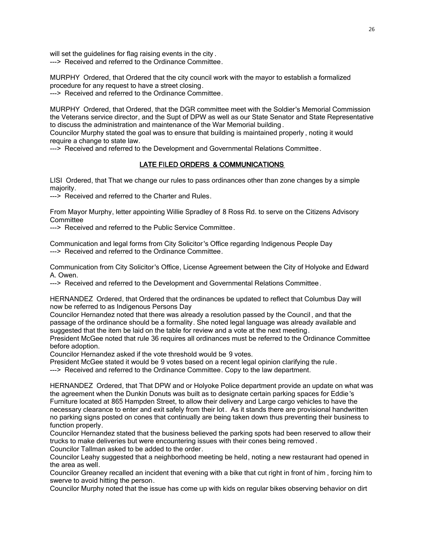will set the guidelines for flag raising events in the city . ---> Received and referred to the Ordinance Committee.

MURPHY Ordered, that Ordered that the city council work with the mayor to establish a formalized procedure for any request to have a street closing.

---> Received and referred to the Ordinance Committee.

MURPHY Ordered, that Ordered, that the DGR committee meet with the Soldier's Memorial Commission the Veterans service director, and the Supt of DPW as well as our State Senator and State Representative to discuss the administration and maintenance of the War Memorial building .

Councilor Murphy stated the goal was to ensure that building is maintained properly , noting it would require a change to state law.

---> Received and referred to the Development and Governmental Relations Committee.

## LATE FILED ORDERS & COMMUNICATIONS

LISI Ordered, that That we change our rules to pass ordinances other than zone changes by a simple majority.

---> Received and referred to the Charter and Rules.

From Mayor Murphy, letter appointing Willie Spradley of 8 Ross Rd. to serve on the Citizens Advisory **Committee** 

---> Received and referred to the Public Service Committee.

Communication and legal forms from City Solicitor 's Office regarding Indigenous People Day ---> Received and referred to the Ordinance Committee.

Communication from City Solicitor's Office, License Agreement between the City of Holyoke and Edward A. Owen.

---> Received and referred to the Development and Governmental Relations Committee.

HERNANDEZ Ordered, that Ordered that the ordinances be updated to reflect that Columbus Day will now be referred to as Indigenous Persons Day

Councilor Hernandez noted that there was already a resolution passed by the Council , and that the passage of the ordinance should be a formality. She noted legal language was already available and suggested that the item be laid on the table for review and a vote at the next meeting.

President McGee noted that rule 36 requires all ordinances must be referred to the Ordinance Committee before adoption.

Councilor Hernandez asked if the vote threshold would be 9 votes.

President McGee stated it would be 9 votes based on a recent legal opinion clarifying the rule .

---> Received and referred to the Ordinance Committee. Copy to the law department.

HERNANDEZ Ordered, that That DPW and or Holyoke Police department provide an update on what was the agreement when the Dunkin Donuts was built as to designate certain parking spaces for Eddie 's Furniture located at 865 Hampden Street, to allow their delivery and Large cargo vehicles to have the necessary clearance to enter and exit safely from their lot . As it stands there are provisional handwritten no parking signs posted on cones that continually are being taken down thus preventing their business to function properly.

Councilor Hernandez stated that the business believed the parking spots had been reserved to allow their trucks to make deliveries but were encountering issues with their cones being removed . Councilor Tallman asked to be added to the order.

Councilor Leahy suggested that a neighborhood meeting be held, noting a new restaurant had opened in the area as well.

Councilor Greaney recalled an incident that evening with a bike that cut right in front of him , forcing him to swerve to avoid hitting the person.

Councilor Murphy noted that the issue has come up with kids on regular bikes observing behavior on dirt